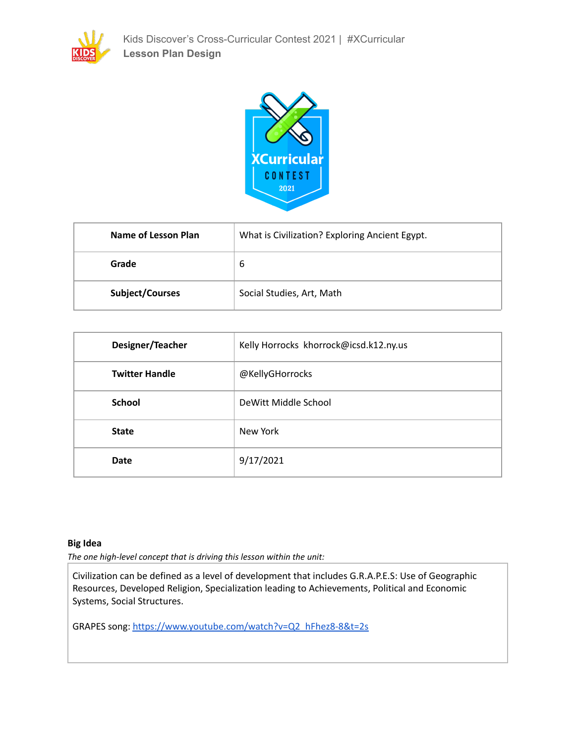



| Name of Lesson Plan    | What is Civilization? Exploring Ancient Egypt. |
|------------------------|------------------------------------------------|
| Grade                  | 6                                              |
| <b>Subject/Courses</b> | Social Studies, Art, Math                      |

| Designer/Teacher      | Kelly Horrocks khorrock@icsd.k12.ny.us |
|-----------------------|----------------------------------------|
| <b>Twitter Handle</b> | @KellyGHorrocks                        |
| <b>School</b>         | DeWitt Middle School                   |
| <b>State</b>          | New York                               |
| Date                  | 9/17/2021                              |

# **Big Idea**

*The one high-level concept that is driving this lesson within the unit:*

Civilization can be defined as a level of development that includes G.R.A.P.E.S: Use of Geographic Resources, Developed Religion, Specialization leading to Achievements, Political and Economic Systems, Social Structures.

GRAPES song: [https://www.youtube.com/watch?v=Q2\\_hFhez8-8&t=2s](https://www.youtube.com/watch?v=Q2_hFhez8-8&t=2s)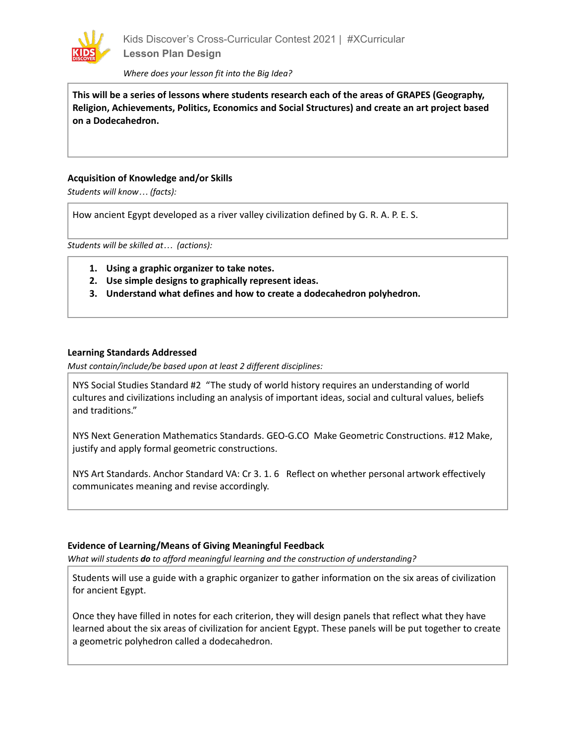

*Where does your lesson fit into the Big Idea?*

**This will be a series of lessons where students research each of the areas of GRAPES (Geography, Religion, Achievements, Politics, Economics and Social Structures) and create an art project based on a Dodecahedron.**

### **Acquisition of Knowledge and/or Skills**

*Students will know… (facts):*

How ancient Egypt developed as a river valley civilization defined by G. R. A. P. E. S.

*Students will be skilled at… (actions):*

- **1. Using a graphic organizer to take notes.**
- **2. Use simple designs to graphically represent ideas.**
- **3. Understand what defines and how to create a dodecahedron polyhedron.**

### **Learning Standards Addressed**

*Must contain/include/be based upon at least 2 different disciplines:*

NYS Social Studies Standard #2 "The study of world history requires an understanding of world cultures and civilizations including an analysis of important ideas, social and cultural values, beliefs and traditions."

NYS Next Generation Mathematics Standards. GEO-G.CO Make Geometric Constructions. #12 Make, justify and apply formal geometric constructions.

NYS Art Standards. Anchor Standard VA: Cr 3. 1. 6 Reflect on whether personal artwork effectively communicates meaning and revise accordingly.

#### **Evidence of Learning/Means of Giving Meaningful Feedback**

*What will students do to afford meaningful learning and the construction of understanding?*

Students will use a guide with a graphic organizer to gather information on the six areas of civilization for ancient Egypt.

Once they have filled in notes for each criterion, they will design panels that reflect what they have learned about the six areas of civilization for ancient Egypt. These panels will be put together to create a geometric polyhedron called a dodecahedron.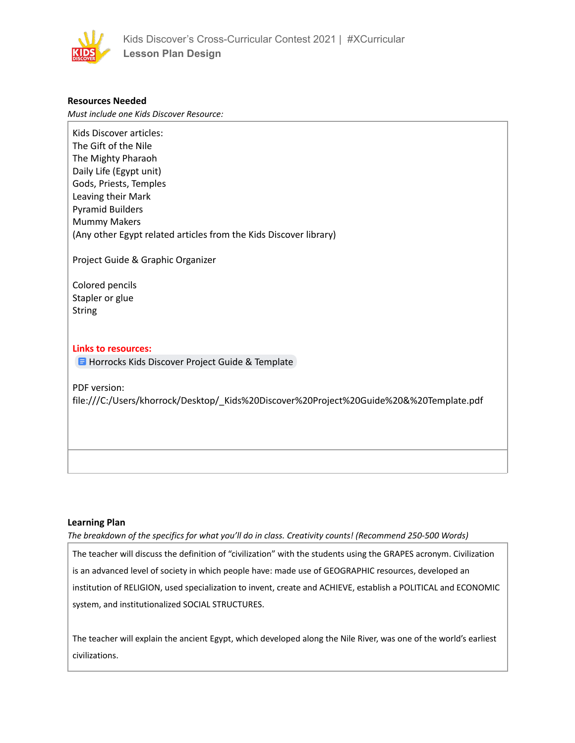

# **Resources Needed**

*Must include one Kids Discover Resource:*

Kids Discover articles: The Gift of the Nile The Mighty Pharaoh Daily Life (Egypt unit) Gods, Priests, Temples Leaving their Mark Pyramid Builders Mummy Makers (Any other Egypt related articles from the Kids Discover library)

Project Guide & Graphic Organizer

Colored pencils Stapler or glue **String** 

# **Links to resources:**

**H** Horrocks Kids Discover Project Guide & [Template](https://docs.google.com/document/d/1HM7irx2_TDrnivFwmK_OXHoXzxhVFEVSywQZJs3q7Wc/copy)

PDF version:

file:///C:/Users/khorrock/Desktop/\_Kids%20Discover%20Project%20Guide%20&%20Template.pdf

#### **Learning Plan**

*The breakdown of the specifics for what you'll do in class. Creativity counts! (Recommend 250-500 Words)*

The teacher will discuss the definition of "civilization" with the students using the GRAPES acronym. Civilization is an advanced level of society in which people have: made use of GEOGRAPHIC resources, developed an institution of RELIGION, used specialization to invent, create and ACHIEVE, establish a POLITICAL and ECONOMIC system, and institutionalized SOCIAL STRUCTURES.

The teacher will explain the ancient Egypt, which developed along the Nile River, was one of the world's earliest civilizations.